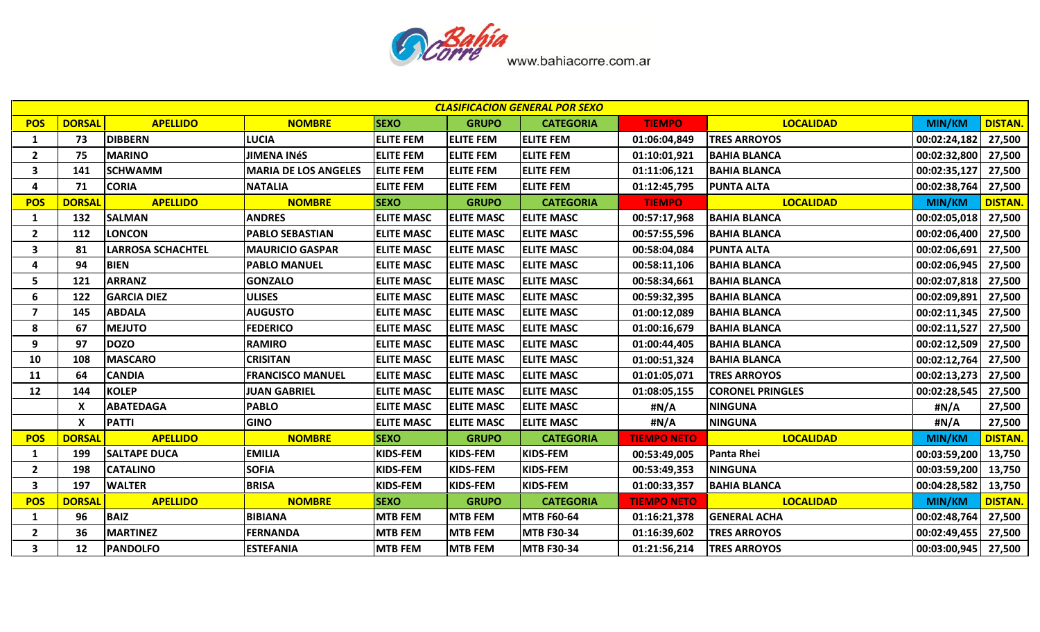

|                         |                           |                          |                             |                   |                   | <b>CLASIFICACION GENERAL POR SEXO</b> |                    |                         |                       |                |
|-------------------------|---------------------------|--------------------------|-----------------------------|-------------------|-------------------|---------------------------------------|--------------------|-------------------------|-----------------------|----------------|
| <b>POS</b>              | <b>DORSAL</b>             | <b>APELLIDO</b>          | <b>NOMBRE</b>               | <b>SEXO</b>       | <b>GRUPO</b>      | <b>CATEGORIA</b>                      | <b>TIEMPO</b>      | <b>LOCALIDAD</b>        | <b>MIN/KM</b>         | <b>DISTAN</b>  |
| 1                       | 73                        | <b>DIBBERN</b>           | <b>LUCIA</b>                | <b>ELITE FEM</b>  | <b>ELITE FEM</b>  | <b>ELITE FEM</b>                      | 01:06:04,849       | <b>TRES ARROYOS</b>     | 00:02:24,182          | 27,500         |
| $\overline{2}$          | 75                        | <b>MARINO</b>            | <b>JIMENA INÉS</b>          | <b>ELITE FEM</b>  | <b>ELITE FEM</b>  | <b>ELITE FEM</b>                      | 01:10:01,921       | <b>BAHIA BLANCA</b>     | 00:02:32,800          | 27,500         |
| 3                       | 141                       | <b>SCHWAMM</b>           | <b>MARIA DE LOS ANGELES</b> | <b>ELITE FEM</b>  | <b>ELITE FEM</b>  | <b>ELITE FEM</b>                      | 01:11:06,121       | <b>BAHIA BLANCA</b>     | 00:02:35,127          | 27,500         |
| 4                       | 71                        | <b>CORIA</b>             | <b>NATALIA</b>              | <b>ELITE FEM</b>  | <b>ELITE FEM</b>  | <b>ELITE FEM</b>                      | 01:12:45,795       | <b>PUNTA ALTA</b>       | 00:02:38,764          | 27,500         |
| <b>POS</b>              | <b>DORSAL</b>             | <b>APELLIDO</b>          | <b>NOMBRE</b>               | <b>SEXO</b>       | <b>GRUPO</b>      | <b>CATEGORIA</b>                      | <b>TIEMPO</b>      | <b>LOCALIDAD</b>        | <b>MIN/KM</b>         | <b>DISTAN.</b> |
| 1                       | 132                       | <b>SALMAN</b>            | <b>ANDRES</b>               | <b>ELITE MASC</b> | <b>ELITE MASC</b> | <b>ELITE MASC</b>                     | 00:57:17,968       | <b>BAHIA BLANCA</b>     | 00:02:05,018          | 27,500         |
| $\overline{2}$          | 112                       | <b>LONCON</b>            | <b>PABLO SEBASTIAN</b>      | <b>ELITE MASC</b> | <b>ELITE MASC</b> | <b>ELITE MASC</b>                     | 00:57:55,596       | <b>BAHIA BLANCA</b>     | 00:02:06,400          | 27,500         |
| 3                       | 81                        | <b>LARROSA SCHACHTEL</b> | <b>MAURICIO GASPAR</b>      | <b>ELITE MASC</b> | <b>ELITE MASC</b> | <b>ELITE MASC</b>                     | 00:58:04,084       | <b>PUNTA ALTA</b>       | 00:02:06,691          | 27,500         |
| 4                       | 94                        | <b>BIEN</b>              | <b>PABLO MANUEL</b>         | <b>ELITE MASC</b> | <b>ELITE MASC</b> | <b>ELITE MASC</b>                     | 00:58:11,106       | <b>BAHIA BLANCA</b>     | 00:02:06,945          | 27,500         |
| 5                       | 121                       | <b>ARRANZ</b>            | <b>GONZALO</b>              | <b>ELITE MASC</b> | <b>ELITE MASC</b> | <b>ELITE MASC</b>                     | 00:58:34,661       | <b>BAHIA BLANCA</b>     | 00:02:07,818          | 27,500         |
| 6                       | 122                       | <b>GARCIA DIEZ</b>       | <b>ULISES</b>               | <b>ELITE MASC</b> | <b>ELITE MASC</b> | <b>ELITE MASC</b>                     | 00:59:32,395       | <b>BAHIA BLANCA</b>     | 00:02:09,891          | 27,500         |
| $\overline{\mathbf{z}}$ | 145                       | <b>ABDALA</b>            | <b>AUGUSTO</b>              | <b>ELITE MASC</b> | <b>ELITE MASC</b> | <b>ELITE MASC</b>                     | 01:00:12,089       | <b>BAHIA BLANCA</b>     | 00:02:11,345          | 27,500         |
| 8                       | 67                        | <b>MEJUTO</b>            | <b>FEDERICO</b>             | <b>ELITE MASC</b> | <b>ELITE MASC</b> | <b>ELITE MASC</b>                     | 01:00:16,679       | <b>BAHIA BLANCA</b>     | 00:02:11,527          | 27,500         |
| 9                       | 97                        | <b>DOZO</b>              | <b>RAMIRO</b>               | <b>ELITE MASC</b> | <b>ELITE MASC</b> | <b>ELITE MASC</b>                     | 01:00:44,405       | <b>BAHIA BLANCA</b>     | 00:02:12,509          | 27,500         |
| 10                      | 108                       | <b>MASCARO</b>           | <b>CRISITAN</b>             | <b>ELITE MASC</b> | <b>ELITE MASC</b> | <b>ELITE MASC</b>                     | 01:00:51,324       | <b>BAHIA BLANCA</b>     | 00:02:12,764          | 27,500         |
| 11                      | 64                        | <b>CANDIA</b>            | <b>FRANCISCO MANUEL</b>     | <b>ELITE MASC</b> | <b>ELITE MASC</b> | <b>ELITE MASC</b>                     | 01:01:05,071       | <b>TRES ARROYOS</b>     | 00:02:13,273          | 27,500         |
| 12                      | 144                       | <b>KOLEP</b>             | <b>JUAN GABRIEL</b>         | <b>ELITE MASC</b> | <b>ELITE MASC</b> | <b>ELITE MASC</b>                     | 01:08:05,155       | <b>CORONEL PRINGLES</b> | 00:02:28,545          | 27,500         |
|                         | X                         | <b>ABATEDAGA</b>         | <b>PABLO</b>                | <b>ELITE MASC</b> | <b>ELITE MASC</b> | <b>ELITE MASC</b>                     | #N/A               | <b>NINGUNA</b>          | #N/A                  | 27,500         |
|                         | $\boldsymbol{\mathsf{X}}$ | <b>PATTI</b>             | <b>GINO</b>                 | <b>ELITE MASC</b> | <b>ELITE MASC</b> | <b>ELITE MASC</b>                     | #N/A               | <b>NINGUNA</b>          | #N/A                  | 27,500         |
| <b>POS</b>              | <b>DORSAL</b>             | <b>APELLIDO</b>          | <b>NOMBRE</b>               | <b>SEXO</b>       | <b>GRUPO</b>      | <b>CATEGORIA</b>                      | <b>TIEMPO NETO</b> | <b>LOCALIDAD</b>        | <b>MIN/KM</b>         | <b>DISTAN</b>  |
| $\mathbf{1}$            | 199                       | <b>SALTAPE DUCA</b>      | <b>EMILIA</b>               | <b>KIDS-FEM</b>   | <b>KIDS-FEM</b>   | KIDS-FEM                              | 00:53:49,005       | <b>Panta Rhei</b>       | 00:03:59,200          | 13,750         |
| $\overline{2}$          | 198                       | <b>CATALINO</b>          | <b>SOFIA</b>                | <b>KIDS-FEM</b>   | <b>KIDS-FEM</b>   | KIDS-FEM                              | 00:53:49,353       | <b>NINGUNA</b>          | 00:03:59,200          | 13,750         |
| $\overline{\mathbf{3}}$ | 197                       | <b>WALTER</b>            | <b>BRISA</b>                | <b>KIDS-FEM</b>   | KIDS-FEM          | KIDS-FEM                              | 01:00:33,357       | <b>BAHIA BLANCA</b>     | 00:04:28,582          | 13,750         |
| <b>POS</b>              | <b>DORSAL</b>             | <b>APELLIDO</b>          | <b>NOMBRE</b>               | <b>SEXO</b>       | <b>GRUPO</b>      | <b>CATEGORIA</b>                      | <b>TIEMPO NETO</b> | <b>LOCALIDAD</b>        | <b>MIN/KM</b>         | <b>DISTAN</b>  |
| 1                       | 96                        | <b>BAIZ</b>              | <b>BIBIANA</b>              | <b>MTB FEM</b>    | <b>MTB FEM</b>    | <b>MTB F60-64</b>                     | 01:16:21,378       | <b>GENERAL ACHA</b>     | 00:02:48,764          | 27,500         |
| $\overline{2}$          | 36                        | <b>MARTINEZ</b>          | <b>FERNANDA</b>             | <b>MTB FEM</b>    | <b>MTB FEM</b>    | <b>MTB F30-34</b>                     | 01:16:39,602       | <b>TRES ARROYOS</b>     | 00:02:49,455          | 27,500         |
| 3                       | 12                        | <b>PANDOLFO</b>          | <b>ESTEFANIA</b>            | <b>MTB FEM</b>    | <b>MTB FEM</b>    | <b>MTB F30-34</b>                     | 01:21:56,214       | <b>TRES ARROYOS</b>     | 00:03:00,945   27,500 |                |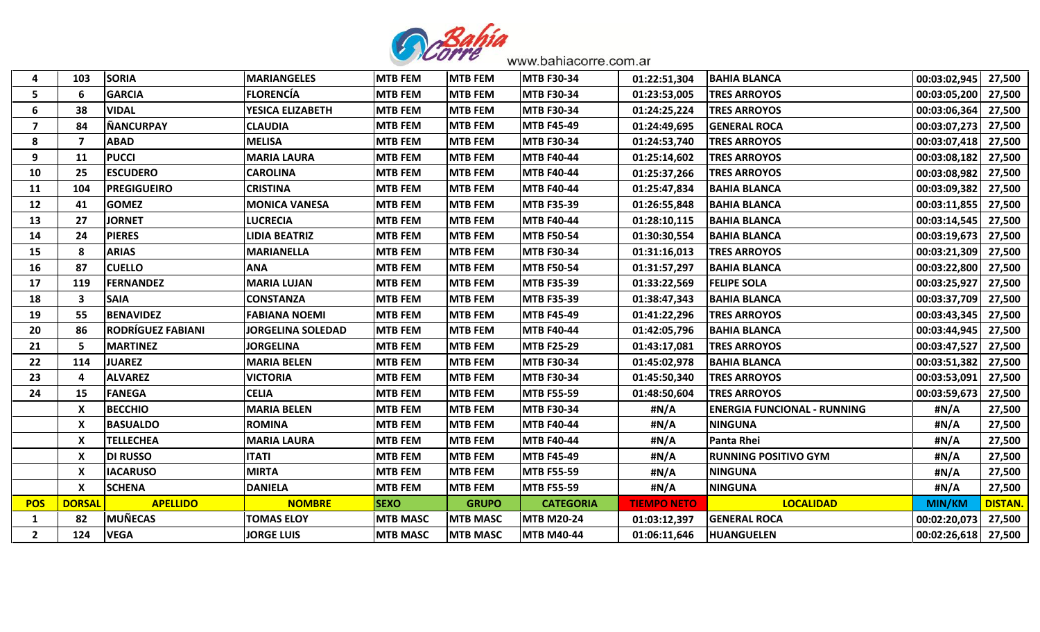

| $\overline{\mathbf{4}}$ | 103           | <b>SORIA</b>             | <b>MARIANGELES</b>       | <b>MTB FEM</b>  | <b>MTB FEM</b>  | <b>MTB F30-34</b> | 01:22:51,304       | <b>BAHIA BLANCA</b>                | 00:03:02,945          | 27,500         |
|-------------------------|---------------|--------------------------|--------------------------|-----------------|-----------------|-------------------|--------------------|------------------------------------|-----------------------|----------------|
| 5                       |               | <b>GARCIA</b>            | <b>FLORENCÍA</b>         | <b>MTB FEM</b>  | <b>MTB FEM</b>  | <b>MTB F30-34</b> | 01:23:53,005       | <b>TRES ARROYOS</b>                | 00:03:05,200          | 27,500         |
| 6                       | 38            | <b>VIDAL</b>             | YESICA ELIZABETH         | <b>MTB FEM</b>  | <b>MTB FEM</b>  | <b>MTB F30-34</b> | 01:24:25,224       | <b>TRES ARROYOS</b>                | 00:03:06,364          | 27,500         |
| $\overline{\mathbf{z}}$ | 84            | <b>NANCURPAY</b>         | <b>CLAUDIA</b>           | <b>MTB FEM</b>  | <b>MTB FEM</b>  | <b>MTB F45-49</b> | 01:24:49,695       | <b>GENERAL ROCA</b>                | 00:03:07,273 27,500   |                |
| 8                       |               | <b>ABAD</b>              | <b>MELISA</b>            | <b>MTB FEM</b>  | <b>MTB FEM</b>  | <b>MTB F30-34</b> | 01:24:53,740       | <b>TRES ARROYOS</b>                | 00:03:07,418          | 27,500         |
| 9                       | 11            | <b>PUCCI</b>             | <b>MARIA LAURA</b>       | <b>MTB FEM</b>  | <b>MTB FEM</b>  | <b>MTB F40-44</b> | 01:25:14,602       | <b>TRES ARROYOS</b>                | 00:03:08,182          | 27,500         |
| 10                      | 25            | <b>ESCUDERO</b>          | <b>CAROLINA</b>          | <b>MTB FEM</b>  | <b>MTB FEM</b>  | <b>MTB F40-44</b> | 01:25:37,266       | <b>TRES ARROYOS</b>                | 00:03:08,982          | 27,500         |
| 11                      | 104           | <b>PREGIGUEIRO</b>       | <b>CRISTINA</b>          | <b>MTB FEM</b>  | <b>MTB FEM</b>  | <b>MTB F40-44</b> | 01:25:47,834       | <b>BAHIA BLANCA</b>                | 00:03:09,382   27,500 |                |
| 12                      | 41            | <b>GOMEZ</b>             | <b>MONICA VANESA</b>     | <b>MTB FEM</b>  | <b>MTB FEM</b>  | <b>MTB F35-39</b> | 01:26:55,848       | <b>BAHIA BLANCA</b>                | 00:03:11,855          | 27,500         |
| 13                      | 27            | <b>JORNET</b>            | <b>LUCRECIA</b>          | <b>MTB FEM</b>  | <b>MTB FEM</b>  | <b>MTB F40-44</b> | 01:28:10,115       | <b>BAHIA BLANCA</b>                | 00:03:14,545   27,500 |                |
| 14                      | 24            | <b>PIERES</b>            | <b>LIDIA BEATRIZ</b>     | <b>MTB FEM</b>  | <b>MTB FEM</b>  | <b>MTB F50-54</b> | 01:30:30,554       | <b>BAHIA BLANCA</b>                | 00:03:19,673          | 27,500         |
| 15                      | 8             | <b>ARIAS</b>             | <b>MARIANELLA</b>        | <b>MTB FEM</b>  | <b>MTB FEM</b>  | <b>MTB F30-34</b> | 01:31:16,013       | <b>TRES ARROYOS</b>                | 00:03:21,309 27,500   |                |
| 16                      | 87            | <b>CUELLO</b>            | <b>ANA</b>               | <b>MTB FEM</b>  | <b>MTB FEM</b>  | <b>MTB F50-54</b> | 01:31:57,297       | <b>BAHIA BLANCA</b>                | 00:03:22,800 27,500   |                |
| 17                      | 119           | <b>FERNANDEZ</b>         | <b>MARIA LUJAN</b>       | <b>MTB FEM</b>  | <b>MTB FEM</b>  | <b>MTB F35-39</b> | 01:33:22,569       | <b>FELIPE SOLA</b>                 | 00:03:25,927          | 27,500         |
| 18                      | 3             | <b>SAIA</b>              | <b>CONSTANZA</b>         | <b>MTB FEM</b>  | <b>MTB FEM</b>  | <b>MTB F35-39</b> | 01:38:47,343       | <b>BAHIA BLANCA</b>                | 00:03:37,709          | 27,500         |
| 19                      | 55            | <b>BENAVIDEZ</b>         | <b>FABIANA NOEMI</b>     | <b>MTB FEM</b>  | <b>MTB FEM</b>  | <b>MTB F45-49</b> | 01:41:22,296       | <b>TRES ARROYOS</b>                | 00:03:43,345   27,500 |                |
| 20                      | 86            | <b>RODRÍGUEZ FABIANI</b> | <b>JORGELINA SOLEDAD</b> | <b>MTB FEM</b>  | <b>MTB FEM</b>  | <b>MTB F40-44</b> | 01:42:05,796       | <b>BAHIA BLANCA</b>                | 00:03:44,945          | 27,500         |
| 21                      | 5             | <b>MARTINEZ</b>          | <b>JORGELINA</b>         | <b>MTB FEM</b>  | <b>MTB FEM</b>  | <b>MTB F25-29</b> | 01:43:17,081       | <b>TRES ARROYOS</b>                | 00:03:47,527 27,500   |                |
| 22                      | 114           | <b>JUAREZ</b>            | <b>MARIA BELEN</b>       | <b>MTB FEM</b>  | <b>MTB FEM</b>  | <b>MTB F30-34</b> | 01:45:02,978       | <b>BAHIA BLANCA</b>                | 00:03:51,382          | 27,500         |
| 23                      |               | <b>ALVAREZ</b>           | <b>VICTORIA</b>          | <b>MTB FEM</b>  | <b>MTB FEM</b>  | <b>MTB F30-34</b> | 01:45:50,340       | <b>TRES ARROYOS</b>                | 00:03:53,091          | 27,500         |
| 24                      | 15            | <b>FANEGA</b>            | <b>CELIA</b>             | <b>MTB FEM</b>  | <b>MTB FEM</b>  | <b>MTB F55-59</b> | 01:48:50,604       | <b>TRES ARROYOS</b>                | 00:03:59,673          | 27,500         |
|                         | X             | <b>BECCHIO</b>           | <b>MARIA BELEN</b>       | <b>MTB FEM</b>  | <b>MTB FEM</b>  | <b>MTB F30-34</b> | #N/A               | <b>ENERGIA FUNCIONAL - RUNNING</b> | #N/A                  | 27,500         |
|                         |               | <b>BASUALDO</b>          | <b>ROMINA</b>            | <b>MTB FEM</b>  | <b>MTB FEM</b>  | <b>MTB F40-44</b> | #N/A               | <b>NINGUNA</b>                     | #N/A                  | 27,500         |
|                         | X             | <b>TELLECHEA</b>         | <b>MARIA LAURA</b>       | <b>MTB FEM</b>  | <b>MTB FEM</b>  | <b>MTB F40-44</b> | #N/A               | <b>Panta Rhei</b>                  | #N/A                  | 27,500         |
|                         |               | <b>DI RUSSO</b>          | <b>ITATI</b>             | <b>MTB FEM</b>  | <b>MTB FEM</b>  | <b>MTB F45-49</b> | #N/A               | <b>RUNNING POSITIVO GYM</b>        | #N/A                  | 27,500         |
|                         | X             | <b>IACARUSO</b>          | <b>MIRTA</b>             | <b>MTB FEM</b>  | <b>MTB FEM</b>  | <b>MTB F55-59</b> | #N/A               | <b>NINGUNA</b>                     | #N/A                  | 27,500         |
|                         | X             | <b>SCHENA</b>            | <b>DANIELA</b>           | <b>MTB FEM</b>  | <b>MTB FEM</b>  | <b>MTB F55-59</b> | #N/A               | <b>NINGUNA</b>                     | #N/A                  | 27,500         |
| <b>POS</b>              | <b>DORSAL</b> | <b>APELLIDO</b>          | <b>NOMBRE</b>            | <b>SEXO</b>     | <b>GRUPO</b>    | <b>CATEGORIA</b>  | <b>TIEMPO NETO</b> | <b>LOCALIDAD</b>                   | <b>MIN/KM</b>         | <b>DISTAN.</b> |
| 1                       | 82            | <b>MUÑECAS</b>           | <b>TOMAS ELOY</b>        | <b>MTB MASC</b> | <b>MTB MASC</b> | <b>MTB M20-24</b> | 01:03:12,397       | <b>GENERAL ROCA</b>                | 00:02:20,073          | 27,500         |
| $\overline{2}$          | 124           | <b>VEGA</b>              | <b>JORGE LUIS</b>        | <b>MTB MASC</b> | <b>MTB MASC</b> | <b>MTB M40-44</b> | 01:06:11,646       | <b>HUANGUELEN</b>                  | $00:02:26,618$ 27,500 |                |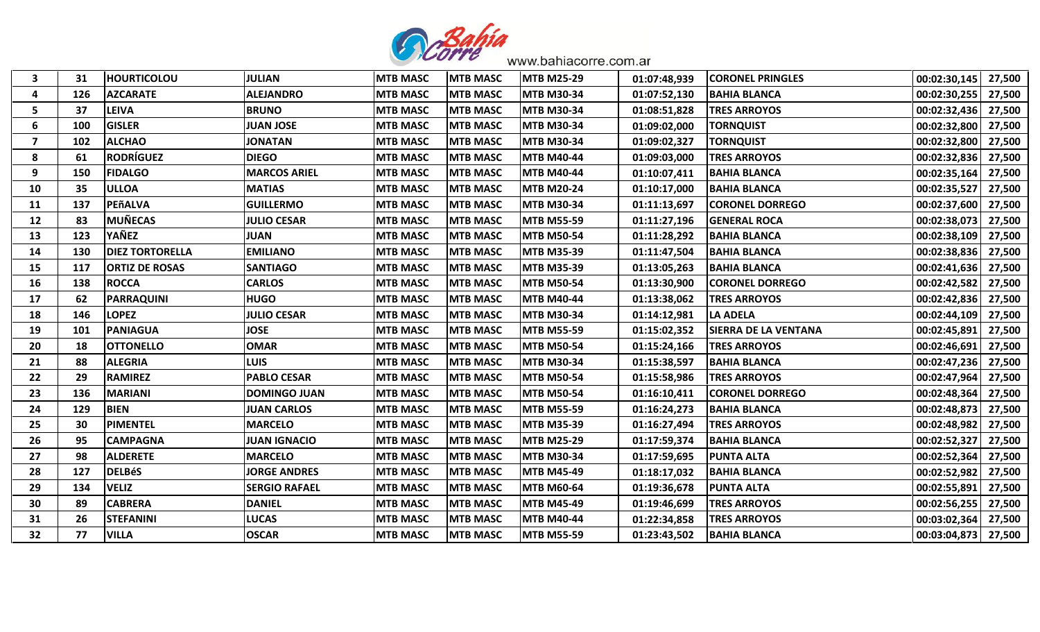

| 3                       | 31  | <b>HOURTICOLOU</b>     | <b>JULIAN</b>        | <b>MTB MASC</b> | <b>MTB MASC</b> | <b>MTB M25-29</b> | 01:07:48,939 | <b>CORONEL PRINGLES</b>     | 00:02:30,145 | 27,500 |
|-------------------------|-----|------------------------|----------------------|-----------------|-----------------|-------------------|--------------|-----------------------------|--------------|--------|
| 4                       | 126 | <b>AZCARATE</b>        | <b>ALEJANDRO</b>     | <b>MTB MASC</b> | <b>MTB MASC</b> | <b>MTB M30-34</b> | 01:07:52,130 | <b>BAHIA BLANCA</b>         | 00:02:30,255 | 27,500 |
| 5                       | 37  | <b>LEIVA</b>           | <b>BRUNO</b>         | <b>MTB MASC</b> | <b>MTB MASC</b> | <b>MTB M30-34</b> | 01:08:51,828 | <b>TRES ARROYOS</b>         | 00:02:32,436 | 27,500 |
| 6                       | 100 | <b>GISLER</b>          | <b>JUAN JOSE</b>     | <b>MTB MASC</b> | <b>MTB MASC</b> | <b>MTB M30-34</b> | 01:09:02,000 | <b>TORNQUIST</b>            | 00:02:32,800 | 27,500 |
| $\overline{\mathbf{z}}$ | 102 | <b>ALCHAO</b>          | <b>JONATAN</b>       | <b>MTB MASC</b> | <b>MTB MASC</b> | <b>MTB M30-34</b> | 01:09:02,327 | <b>TORNQUIST</b>            | 00:02:32,800 | 27,500 |
| 8                       | 61  | <b>RODRÍGUEZ</b>       | <b>DIEGO</b>         | <b>MTB MASC</b> | <b>MTB MASC</b> | <b>MTB M40-44</b> | 01:09:03,000 | <b>TRES ARROYOS</b>         | 00:02:32,836 | 27,500 |
| 9                       | 150 | <b>FIDALGO</b>         | <b>MARCOS ARIEL</b>  | <b>MTB MASC</b> | <b>MTB MASC</b> | <b>MTB M40-44</b> | 01:10:07,411 | <b>BAHIA BLANCA</b>         | 00:02:35,164 | 27,500 |
| 10                      | 35  | <b>ULLOA</b>           | <b>MATIAS</b>        | <b>MTB MASC</b> | <b>MTB MASC</b> | <b>MTB M20-24</b> | 01:10:17,000 | <b>BAHIA BLANCA</b>         | 00:02:35,527 | 27,500 |
| 11                      | 137 | PEñALVA                | <b>GUILLERMO</b>     | <b>MTB MASC</b> | <b>MTB MASC</b> | <b>MTB M30-34</b> | 01:11:13,697 | <b>CORONEL DORREGO</b>      | 00:02:37,600 | 27,500 |
| 12                      | 83  | <b>MUÑECAS</b>         | <b>JULIO CESAR</b>   | <b>MTB MASC</b> | <b>MTB MASC</b> | <b>MTB M55-59</b> | 01:11:27,196 | <b>GENERAL ROCA</b>         | 00:02:38,073 | 27,500 |
| 13                      | 123 | YAÑEZ                  | <b>JUAN</b>          | <b>MTB MASC</b> | <b>MTB MASC</b> | <b>MTB M50-54</b> | 01:11:28,292 | <b>BAHIA BLANCA</b>         | 00:02:38,109 | 27,500 |
| 14                      | 130 | <b>DIEZ TORTORELLA</b> | <b>EMILIANO</b>      | <b>MTB MASC</b> | <b>MTB MASC</b> | <b>MTB M35-39</b> | 01:11:47,504 | <b>BAHIA BLANCA</b>         | 00:02:38,836 | 27,500 |
| 15                      | 117 | <b>ORTIZ DE ROSAS</b>  | <b>SANTIAGO</b>      | <b>MTB MASC</b> | <b>MTB MASC</b> | <b>MTB M35-39</b> | 01:13:05,263 | <b>BAHIA BLANCA</b>         | 00:02:41,636 | 27,500 |
| 16                      | 138 | <b>ROCCA</b>           | <b>CARLOS</b>        | <b>MTB MASC</b> | <b>MTB MASC</b> | <b>MTB M50-54</b> | 01:13:30,900 | <b>CORONEL DORREGO</b>      | 00:02:42,582 | 27,500 |
| 17                      | 62  | <b>PARRAQUINI</b>      | <b>HUGO</b>          | <b>MTB MASC</b> | <b>MTB MASC</b> | <b>MTB M40-44</b> | 01:13:38,062 | <b>TRES ARROYOS</b>         | 00:02:42,836 | 27,500 |
| 18                      | 146 | <b>LOPEZ</b>           | <b>JULIO CESAR</b>   | <b>MTB MASC</b> | <b>MTB MASC</b> | <b>MTB M30-34</b> | 01:14:12,981 | <b>LA ADELA</b>             | 00:02:44,109 | 27,500 |
| 19                      | 101 | <b>PANIAGUA</b>        | <b>JOSE</b>          | <b>MTB MASC</b> | <b>MTB MASC</b> | <b>MTB M55-59</b> | 01:15:02,352 | <b>SIERRA DE LA VENTANA</b> | 00:02:45,891 | 27,500 |
| 20                      | 18  | <b>OTTONELLO</b>       | <b>OMAR</b>          | <b>MTB MASC</b> | <b>MTB MASC</b> | <b>MTB M50-54</b> | 01:15:24,166 | <b>TRES ARROYOS</b>         | 00:02:46,691 | 27,500 |
| 21                      | 88  | <b>ALEGRIA</b>         | <b>LUIS</b>          | <b>MTB MASC</b> | <b>MTB MASC</b> | <b>MTB M30-34</b> | 01:15:38,597 | <b>BAHIA BLANCA</b>         | 00:02:47,236 | 27,500 |
| 22                      | 29  | <b>RAMIREZ</b>         | <b>PABLO CESAR</b>   | <b>MTB MASC</b> | <b>MTB MASC</b> | <b>MTB M50-54</b> | 01:15:58,986 | <b>TRES ARROYOS</b>         | 00:02:47,964 | 27,500 |
| 23                      | 136 | <b>MARIANI</b>         | <b>DOMINGO JUAN</b>  | <b>MTB MASC</b> | <b>MTB MASC</b> | <b>MTB M50-54</b> | 01:16:10,411 | <b>CORONEL DORREGO</b>      | 00:02:48,364 | 27,500 |
| 24                      | 129 | <b>BIEN</b>            | <b>JUAN CARLOS</b>   | <b>MTB MASC</b> | <b>MTB MASC</b> | <b>MTB M55-59</b> | 01:16:24,273 | <b>BAHIA BLANCA</b>         | 00:02:48,873 | 27,500 |
| 25                      | 30  | <b>PIMENTEL</b>        | <b>MARCELO</b>       | <b>MTB MASC</b> | <b>MTB MASC</b> | <b>MTB M35-39</b> | 01:16:27,494 | <b>TRES ARROYOS</b>         | 00:02:48,982 | 27,500 |
| 26                      | 95  | <b>CAMPAGNA</b>        | <b>JUAN IGNACIO</b>  | <b>MTB MASC</b> | <b>MTB MASC</b> | <b>MTB M25-29</b> | 01:17:59,374 | <b>BAHIA BLANCA</b>         | 00:02:52,327 | 27,500 |
| 27                      | 98  | <b>ALDERETE</b>        | <b>MARCELO</b>       | <b>MTB MASC</b> | <b>MTB MASC</b> | <b>MTB M30-34</b> | 01:17:59,695 | <b>PUNTA ALTA</b>           | 00:02:52,364 | 27,500 |
| 28                      | 127 | <b>DELBéS</b>          | <b>JORGE ANDRES</b>  | <b>MTB MASC</b> | <b>MTB MASC</b> | <b>MTB M45-49</b> | 01:18:17,032 | <b>BAHIA BLANCA</b>         | 00:02:52,982 | 27,500 |
| 29                      | 134 | <b>VELIZ</b>           | <b>SERGIO RAFAEL</b> | <b>MTB MASC</b> | <b>MTB MASC</b> | <b>MTB M60-64</b> | 01:19:36,678 | <b>PUNTA ALTA</b>           | 00:02:55,891 | 27,500 |
| 30                      | 89  | <b>CABRERA</b>         | <b>DANIEL</b>        | <b>MTB MASC</b> | <b>MTB MASC</b> | <b>MTB M45-49</b> | 01:19:46,699 | <b>TRES ARROYOS</b>         | 00:02:56,255 | 27,500 |
| 31                      | 26  | <b>STEFANINI</b>       | <b>LUCAS</b>         | <b>MTB MASC</b> | <b>MTB MASC</b> | <b>MTB M40-44</b> | 01:22:34,858 | <b>TRES ARROYOS</b>         | 00:03:02,364 | 27,500 |
| 32                      | 77  | <b>VILLA</b>           | <b>OSCAR</b>         | <b>MTB MASC</b> | <b>MTB MASC</b> | <b>MTB M55-59</b> | 01:23:43,502 | <b>BAHIA BLANCA</b>         | 00:03:04,873 | 27,500 |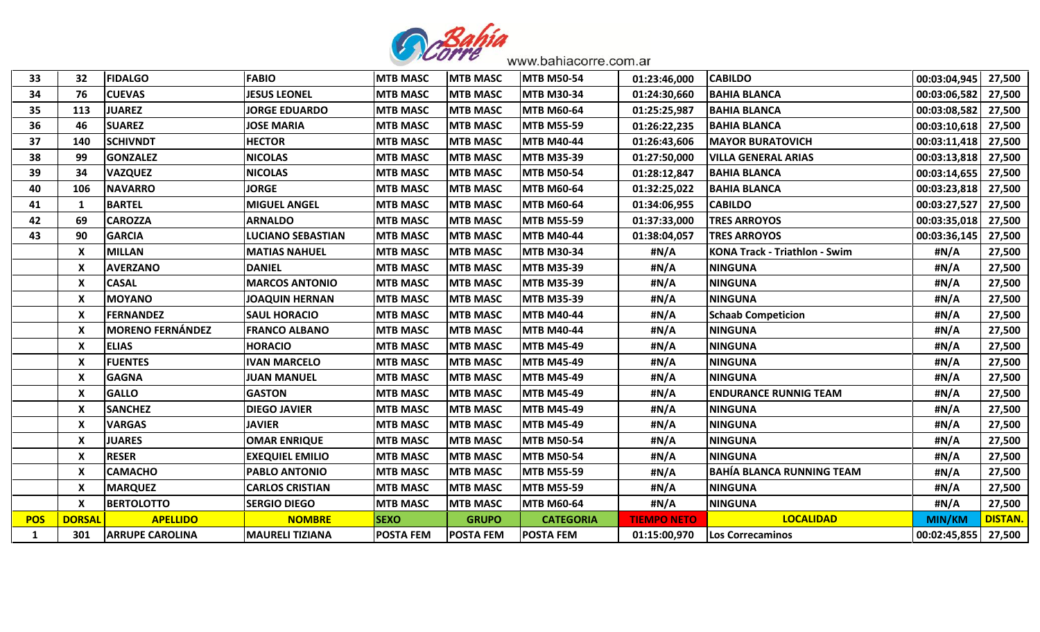

| 33         | 32            | <b>FIDALGO</b>          | <b>FABIO</b>             | <b>MTB MASC</b>  | <b>MTB MASC</b>  | <b>MTB M50-54</b> | 01:23:46,000       | <b>CABILDO</b>                       | 00:03:04,945  | 27,500        |
|------------|---------------|-------------------------|--------------------------|------------------|------------------|-------------------|--------------------|--------------------------------------|---------------|---------------|
| 34         | 76            | <b>CUEVAS</b>           | <b>JESUS LEONEL</b>      | <b>MTB MASC</b>  | <b>MTB MASC</b>  | <b>MTB M30-34</b> | 01:24:30,660       | <b>BAHIA BLANCA</b>                  | 00:03:06,582  | 27,500        |
| 35         | 113           | <b>JUAREZ</b>           | <b>JORGE EDUARDO</b>     | <b>MTB MASC</b>  | <b>MTB MASC</b>  | <b>MTB M60-64</b> | 01:25:25,987       | <b>BAHIA BLANCA</b>                  | 00:03:08,582  | 27,500        |
| 36         | 46            | <b>SUAREZ</b>           | <b>JOSE MARIA</b>        | <b>MTB MASC</b>  | <b>MTB MASC</b>  | <b>MTB M55-59</b> | 01:26:22,235       | <b>BAHIA BLANCA</b>                  | 00:03:10,618  | 27,500        |
| 37         | 140           | <b>SCHIVNDT</b>         | <b>HECTOR</b>            | <b>MTB MASC</b>  | <b>MTB MASC</b>  | <b>MTB M40-44</b> | 01:26:43,606       | <b>MAYOR BURATOVICH</b>              | 00:03:11,418  | 27,500        |
| 38         | 99            | <b>GONZALEZ</b>         | <b>NICOLAS</b>           | <b>MTB MASC</b>  | <b>MTB MASC</b>  | <b>MTB M35-39</b> | 01:27:50,000       | <b>VILLA GENERAL ARIAS</b>           | 00:03:13,818  | 27,500        |
| 39         | 34            | <b>VAZQUEZ</b>          | <b>NICOLAS</b>           | <b>MTB MASC</b>  | <b>MTB MASC</b>  | <b>MTB M50-54</b> | 01:28:12,847       | <b>BAHIA BLANCA</b>                  | 00:03:14,655  | 27,500        |
| 40         | 106           | <b>NAVARRO</b>          | <b>JORGE</b>             | <b>MTB MASC</b>  | <b>MTB MASC</b>  | <b>MTB M60-64</b> | 01:32:25,022       | <b>BAHIA BLANCA</b>                  | 00:03:23,818  | 27,500        |
| 41         | 1             | <b>BARTEL</b>           | <b>MIGUEL ANGEL</b>      | <b>MTB MASC</b>  | <b>MTB MASC</b>  | <b>MTB M60-64</b> | 01:34:06,955       | <b>CABILDO</b>                       | 00:03:27,527  | 27,500        |
| 42         | 69            | <b>CAROZZA</b>          | <b>ARNALDO</b>           | <b>MTB MASC</b>  | <b>MTB MASC</b>  | <b>MTB M55-59</b> | 01:37:33,000       | <b>TRES ARROYOS</b>                  | 00:03:35,018  | 27,500        |
| 43         | 90            | <b>GARCIA</b>           | <b>LUCIANO SEBASTIAN</b> | <b>MTB MASC</b>  | <b>MTB MASC</b>  | <b>MTB M40-44</b> | 01:38:04,057       | <b>TRES ARROYOS</b>                  | 00:03:36,145  | 27,500        |
|            | X             | <b>MILLAN</b>           | <b>MATIAS NAHUEL</b>     | <b>MTB MASC</b>  | <b>MTB MASC</b>  | <b>MTB M30-34</b> | #N/A               | <b>KONA Track - Triathlon - Swim</b> | #N/A          | 27,500        |
|            | $\mathbf{x}$  | <b>AVERZANO</b>         | <b>DANIEL</b>            | <b>MTB MASC</b>  | <b>MTB MASC</b>  | <b>MTB M35-39</b> | #N/A               | <b>NINGUNA</b>                       | #N/A          | 27,500        |
|            | X             | <b>CASAL</b>            | <b>MARCOS ANTONIO</b>    | <b>MTB MASC</b>  | <b>MTB MASC</b>  | <b>MTB M35-39</b> | #N/A               | <b>NINGUNA</b>                       | #N/A          | 27,500        |
|            | X             | <b>MOYANO</b>           | <b>JOAQUIN HERNAN</b>    | <b>MTB MASC</b>  | <b>MTB MASC</b>  | <b>MTB M35-39</b> | #N/A               | <b>NINGUNA</b>                       | #N/A          | 27,500        |
|            | X             | <b>FERNANDEZ</b>        | <b>SAUL HORACIO</b>      | <b>MTB MASC</b>  | <b>MTB MASC</b>  | <b>MTB M40-44</b> | #N/A               | <b>Schaab Competicion</b>            | #N/A          | 27,500        |
|            | X             | <b>MORENO FERNÁNDEZ</b> | <b>FRANCO ALBANO</b>     | <b>MTB MASC</b>  | <b>MTB MASC</b>  | <b>MTB M40-44</b> | #N/A               | <b>NINGUNA</b>                       | #N/A          | 27,500        |
|            | X             | <b>ELIAS</b>            | <b>HORACIO</b>           | <b>MTB MASC</b>  | <b>MTB MASC</b>  | <b>MTB M45-49</b> | #N/A               | <b>NINGUNA</b>                       | #N/A          | 27,500        |
|            | X             | <b>FUENTES</b>          | <b>IVAN MARCELO</b>      | <b>MTB MASC</b>  | <b>MTB MASC</b>  | <b>MTB M45-49</b> | #N/A               | <b>NINGUNA</b>                       | #N/A          | 27,500        |
|            | X             | <b>GAGNA</b>            | <b>JUAN MANUEL</b>       | <b>MTB MASC</b>  | <b>MTB MASC</b>  | <b>MTB M45-49</b> | #N/A               | <b>NINGUNA</b>                       | #N/A          | 27,500        |
|            | X             | <b>GALLO</b>            | <b>GASTON</b>            | <b>MTB MASC</b>  | <b>MTB MASC</b>  | <b>MTB M45-49</b> | #N/A               | <b>ENDURANCE RUNNIG TEAM</b>         | #N/A          | 27,500        |
|            | X             | <b>SANCHEZ</b>          | <b>DIEGO JAVIER</b>      | <b>MTB MASC</b>  | <b>MTB MASC</b>  | <b>MTB M45-49</b> | #N/A               | <b>NINGUNA</b>                       | #N/A          | 27,500        |
|            | X             | <b>VARGAS</b>           | <b>JAVIER</b>            | <b>MTB MASC</b>  | <b>MTB MASC</b>  | <b>MTB M45-49</b> | #N/A               | <b>NINGUNA</b>                       | #N/A          | 27,500        |
|            | X             | <b>JUARES</b>           | <b>OMAR ENRIQUE</b>      | <b>MTB MASC</b>  | <b>MTB MASC</b>  | <b>MTB M50-54</b> | #N/A               | <b>NINGUNA</b>                       | #N/A          | 27,500        |
|            | X             | <b>RESER</b>            | <b>EXEQUIEL EMILIO</b>   | <b>MTB MASC</b>  | <b>MTB MASC</b>  | <b>MTB M50-54</b> | #N/A               | <b>NINGUNA</b>                       | #N/A          | 27,500        |
|            | X             | <b>CAMACHO</b>          | <b>PABLO ANTONIO</b>     | <b>MTB MASC</b>  | <b>MTB MASC</b>  | <b>MTB M55-59</b> | #N/A               | <b>BAHÍA BLANCA RUNNING TEAM</b>     | #N/A          | 27,500        |
|            | X             | <b>MARQUEZ</b>          | <b>CARLOS CRISTIAN</b>   | <b>MTB MASC</b>  | <b>MTB MASC</b>  | <b>MTB M55-59</b> | #N/A               | <b>NINGUNA</b>                       | #N/A          | 27,500        |
|            | X             | <b>BERTOLOTTO</b>       | <b>SERGIO DIEGO</b>      | <b>MTB MASC</b>  | <b>MTB MASC</b>  | <b>MTB M60-64</b> | #N/A               | <b>NINGUNA</b>                       | #N/A          | 27,500        |
| <b>POS</b> | <b>DORSAI</b> | <b>APELLIDO</b>         | <b>NOMBRE</b>            | <b>SEXO</b>      | <b>GRUPO</b>     | <b>CATEGORIA</b>  | <b>TIEMPO NETO</b> | <b>LOCALIDAD</b>                     | <b>MIN/KM</b> | <b>DISTAN</b> |
| 1          | 301           | <b>ARRUPE CAROLINA</b>  | <b>MAURELI TIZIANA</b>   | <b>POSTA FEM</b> | <b>POSTA FEM</b> | <b>POSTA FEM</b>  | 01:15:00,970       | Los Correcaminos                     | 00:02:45,855  | 27,500        |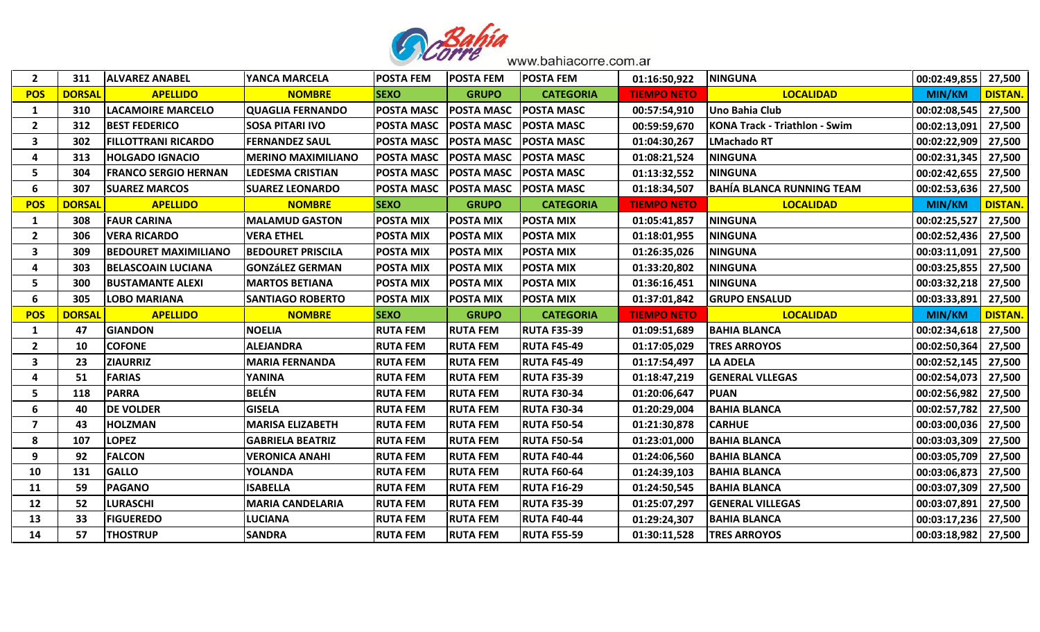

| $\overline{2}$ | 311           | <b>ALVAREZ ANABEL</b>       | <b>YANCA MARCELA</b>      | <b>POSTA FEM</b>  | <b>POSTA FEM</b>             | <b>POSTA FEM</b>   | 01:16:50,922       | <b>NINGUNA</b>                       | 00:02:49,855          | 27,500         |
|----------------|---------------|-----------------------------|---------------------------|-------------------|------------------------------|--------------------|--------------------|--------------------------------------|-----------------------|----------------|
| <b>POS</b>     | <b>DORSAL</b> | <b>APELLIDO</b>             | <b>NOMBRE</b>             | <b>SEXO</b>       | <b>GRUPO</b>                 | <b>CATEGORIA</b>   | <b>TIEMPO NETO</b> | <b>LOCALIDAD</b>                     | <b>MIN/KM</b>         | <b>DISTAN.</b> |
| 1              | 310           | <b>LACAMOIRE MARCELO</b>    | <b>QUAGLIA FERNANDO</b>   | <b>POSTA MASC</b> | <b>POSTA MASC</b>            | <b>POSTA MASC</b>  | 00:57:54,910       | Uno Bahia Club                       | 00:02:08,545          | 27,500         |
| $\overline{2}$ | 312           | <b>BEST FEDERICO</b>        | <b>SOSA PITARI IVO</b>    | <b>POSTA MASC</b> | <b>POSTA MASC POSTA MASC</b> |                    | 00:59:59,670       | <b>KONA Track - Triathlon - Swim</b> | 00:02:13,091          | 27,500         |
| 3              | 302           | <b>FILLOTTRANI RICARDO</b>  | <b>FERNANDEZ SAUL</b>     | <b>POSTA MASC</b> | <b>POSTA MASC</b>            | <b>POSTA MASC</b>  | 01:04:30,267       | <b>LMachado RT</b>                   | 00:02:22,909          | 27,500         |
| 4              | 313           | <b>HOLGADO IGNACIO</b>      | <b>MERINO MAXIMILIANO</b> | <b>POSTA MASC</b> | <b>POSTA MASC POSTA MASC</b> |                    | 01:08:21,524       | <b>NINGUNA</b>                       | 00:02:31,345          | 27,500         |
| 5              | 304           | <b>FRANCO SERGIO HERNAN</b> | <b>LEDESMA CRISTIAN</b>   | <b>POSTA MASC</b> | <b>POSTA MASC</b>            | <b>POSTA MASC</b>  | 01:13:32,552       | <b>NINGUNA</b>                       | 00:02:42,655   27,500 |                |
| 6              | 307           | <b>SUAREZ MARCOS</b>        | <b>ISUAREZ LEONARDO</b>   | <b>POSTA MASC</b> | <b>POSTA MASC POSTA MASC</b> |                    | 01:18:34,507       | <b>BAHÍA BLANCA RUNNING TEAM</b>     | 00:02:53,636 27,500   |                |
| <b>POS</b>     | <b>DORSAL</b> | <b>APELLIDO</b>             | <b>NOMBRE</b>             | <b>SEXO</b>       | <b>GRUPO</b>                 | <b>CATEGORIA</b>   | <b>TIEMPO NETO</b> | <b>LOCALIDAD</b>                     | <b>MIN/KM</b>         | <b>DISTAN.</b> |
| 1              | 308           | <b>FAUR CARINA</b>          | <b>IMALAMUD GASTON</b>    | <b>POSTA MIX</b>  | <b>POSTA MIX</b>             | <b>POSTA MIX</b>   | 01:05:41,857       | <b>NINGUNA</b>                       | 00:02:25,527          | 27,500         |
| $\overline{2}$ | 306           | <b>VERA RICARDO</b>         | <b>VERA ETHEL</b>         | <b>POSTA MIX</b>  | <b>POSTA MIX</b>             | <b>POSTA MIX</b>   | 01:18:01,955       | <b>NINGUNA</b>                       | 00:02:52,436          | 27,500         |
| 3              | 309           | <b>BEDOURET MAXIMILIANO</b> | <b>BEDOURET PRISCILA</b>  | <b>POSTA MIX</b>  | <b>POSTA MIX</b>             | <b>POSTA MIX</b>   | 01:26:35,026       | <b>NINGUNA</b>                       | 00:03:11,091 27,500   |                |
| 4              | 303           | <b>BELASCOAIN LUCIANA</b>   | <b>GONZÁLEZ GERMAN</b>    | <b>POSTA MIX</b>  | <b>POSTA MIX</b>             | POSTA MIX          | 01:33:20,802       | <b>NINGUNA</b>                       | 00:03:25,855   27,500 |                |
| 5.             | 300           | <b>BUSTAMANTE ALEXI</b>     | <b>IMARTOS BETIANA</b>    | <b>POSTA MIX</b>  | <b>POSTA MIX</b>             | <b>POSTA MIX</b>   | 01:36:16,451       | <b>NINGUNA</b>                       | 00:03:32,218 27,500   |                |
| 6              | 305           | <b>LOBO MARIANA</b>         | <b>SANTIAGO ROBERTO</b>   | <b>POSTA MIX</b>  | <b>POSTA MIX</b>             | <b>POSTA MIX</b>   | 01:37:01,842       | <b>GRUPO ENSALUD</b>                 | 00:03:33,891          | 27,500         |
|                |               |                             |                           |                   |                              |                    |                    |                                      |                       |                |
| <b>POS</b>     | <b>DORSAL</b> | <b>APELLIDO</b>             | <b>NOMBRE</b>             | <b>SEXO</b>       | <b>GRUPO</b>                 | <b>CATEGORIA</b>   | <b>TIEMPO NETO</b> | <b>LOCALIDAD</b>                     | <b>MIN/KM</b>         | <b>DISTAN.</b> |
| <sup>1</sup>   | 47            | <b>GIANDON</b>              | <b>NOELIA</b>             | <b>RUTA FEM</b>   | <b>RUTA FEM</b>              | <b>RUTA F35-39</b> | 01:09:51,689       | <b>BAHIA BLANCA</b>                  | 00:02:34,618          | 27,500         |
| $\overline{2}$ | 10            | <b>COFONE</b>               | <b>ALEJANDRA</b>          | <b>RUTA FEM</b>   | <b>RUTA FEM</b>              | <b>RUTA F45-49</b> | 01:17:05,029       | <b>TRES ARROYOS</b>                  | 00:02:50,364          | 27,500         |
| 3              | 23            | <b>ZIAURRIZ</b>             | <b>MARIA FERNANDA</b>     | <b>RUTA FEM</b>   | <b>RUTA FEM</b>              | <b>RUTA F45-49</b> | 01:17:54,497       | <b>LA ADELA</b>                      | 00:02:52,145          | 27,500         |
| 4              | 51            | <b>FARIAS</b>               | <b>YANINA</b>             | <b>RUTA FEM</b>   | <b>RUTA FEM</b>              | <b>RUTA F35-39</b> | 01:18:47,219       | <b>GENERAL VLLEGAS</b>               | 00:02:54,073          | 27,500         |
| 5              | 118           | <b>PARRA</b>                | <b>BELÉN</b>              | <b>RUTA FEM</b>   | <b>RUTA FEM</b>              | <b>RUTA F30-34</b> | 01:20:06,647       | <b>PUAN</b>                          | 00:02:56,982          | 27,500         |
| 6              | 40            | <b>DE VOLDER</b>            | <b>GISELA</b>             | <b>RUTA FEM</b>   | <b>RUTA FEM</b>              | <b>RUTA F30-34</b> | 01:20:29,004       | <b>BAHIA BLANCA</b>                  | 00:02:57,782          | 27,500         |
| $\overline{7}$ | 43            | <b>HOLZMAN</b>              | <b>MARISA ELIZABETH</b>   | <b>RUTA FEM</b>   | <b>RUTA FEM</b>              | <b>RUTA F50-54</b> | 01:21:30,878       | <b>CARHUE</b>                        | 00:03:00,036          | 27,500         |
| 8              | 107           | <b>LOPEZ</b>                | <b>GABRIELA BEATRIZ</b>   | <b>RUTA FEM</b>   | <b>RUTA FEM</b>              | <b>RUTA F50-54</b> | 01:23:01,000       | <b>BAHIA BLANCA</b>                  | 00:03:03,309          | 27,500         |
| 9              | 92            | <b>FALCON</b>               | <b>VERONICA ANAHI</b>     | <b>RUTA FEM</b>   | <b>RUTA FEM</b>              | <b>RUTA F40-44</b> | 01:24:06,560       | <b>BAHIA BLANCA</b>                  | 00:03:05,709          | 27,500         |
| 10             | 131           | <b>GALLO</b>                | <b>YOLANDA</b>            | <b>RUTA FEM</b>   | <b>RUTA FEM</b>              | <b>RUTA F60-64</b> | 01:24:39,103       | <b>BAHIA BLANCA</b>                  | 00:03:06,873          | 27,500         |
| 11             | 59            | <b>PAGANO</b>               | <b>ISABELLA</b>           | <b>RUTA FEM</b>   | <b>RUTA FEM</b>              | <b>RUTA F16-29</b> | 01:24:50,545       | <b>BAHIA BLANCA</b>                  | 00:03:07,309          | 27,500         |
| 12             | 52            | <b>LURASCHI</b>             | <b>MARIA CANDELARIA</b>   | <b>RUTA FEM</b>   | <b>RUTA FEM</b>              | <b>RUTA F35-39</b> | 01:25:07,297       | <b>GENERAL VILLEGAS</b>              | 00:03:07,891          | 27,500         |
| 13             | 33            | <b>FIGUEREDO</b>            | <b>LUCIANA</b>            | <b>RUTA FEM</b>   | <b>RUTA FEM</b>              | <b>RUTA F40-44</b> | 01:29:24,307       | <b>BAHIA BLANCA</b>                  | 00:03:17,236          | 27,500         |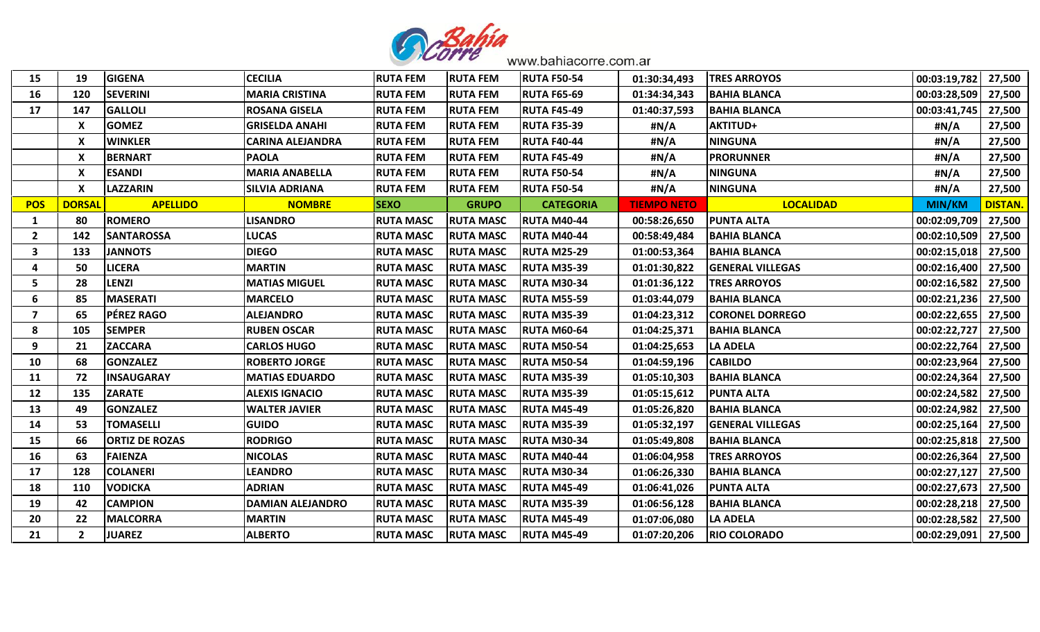

| 15                      | 19            | <b>GIGENA</b>         | <b>CECILIA</b>          | <b>RUTA FEM</b>  | <b>RUTA FEM</b>  | <b>RUTA F50-54</b> | 01:30:34,493       | <b>TRES ARROYOS</b>     | 00:03:19,782          | 27,500        |
|-------------------------|---------------|-----------------------|-------------------------|------------------|------------------|--------------------|--------------------|-------------------------|-----------------------|---------------|
| 16                      | 120           | <b>SEVERINI</b>       | <b>MARIA CRISTINA</b>   | <b>RUTA FEM</b>  | <b>RUTA FEM</b>  | <b>RUTA F65-69</b> | 01:34:34,343       | <b>BAHIA BLANCA</b>     | 00:03:28,509          | 27,500        |
| 17                      | 147           | <b>GALLOLI</b>        | <b>ROSANA GISELA</b>    | <b>RUTA FEM</b>  | <b>RUTA FEM</b>  | <b>RUTA F45-49</b> | 01:40:37,593       | <b>BAHIA BLANCA</b>     | 00:03:41,745          | 27,500        |
|                         | X             | <b>GOMEZ</b>          | <b>GRISELDA ANAHI</b>   | <b>RUTA FEM</b>  | <b>RUTA FEM</b>  | <b>RUTA F35-39</b> | #N/A               | <b>AKTITUD+</b>         | #N/A                  | 27,500        |
|                         | X             | <b>WINKLER</b>        | <b>CARINA ALEJANDRA</b> | <b>RUTA FEM</b>  | <b>RUTA FEM</b>  | <b>RUTA F40-44</b> | #N/A               | <b>NINGUNA</b>          | #N/A                  | 27,500        |
|                         | X             | <b>BERNART</b>        | <b>PAOLA</b>            | <b>RUTA FEM</b>  | <b>RUTA FEM</b>  | <b>RUTA F45-49</b> | #N/A               | <b>PRORUNNER</b>        | #N/A                  | 27,500        |
|                         | X             | <b>ESANDI</b>         | <b>MARIA ANABELLA</b>   | <b>RUTA FEM</b>  | <b>RUTA FEM</b>  | <b>RUTA F50-54</b> | #N/A               | <b>NINGUNA</b>          | #N/A                  | 27,500        |
|                         | X             | <b>LAZZARIN</b>       | <b>SILVIA ADRIANA</b>   | <b>RUTA FEM</b>  | <b>RUTA FEM</b>  | <b>RUTA F50-54</b> | #N/A               | <b>NINGUNA</b>          | #N/A                  | 27,500        |
| <b>POS</b>              | <b>DORSAL</b> | <b>APELLIDO</b>       | <b>NOMBRE</b>           | <b>SEXO</b>      | <b>GRUPO</b>     | <b>CATEGORIA</b>   | <b>TIEMPO NETO</b> | <b>LOCALIDAD</b>        | MIN/KM                | <b>DISTAN</b> |
| 1                       | 80            | <b>ROMERO</b>         | <b>LISANDRO</b>         | <b>RUTA MASC</b> | <b>RUTA MASC</b> | <b>RUTA M40-44</b> | 00:58:26,650       | <b>PUNTA ALTA</b>       | 00:02:09,709          | 27,500        |
| $\overline{2}$          | 142           | <b>SANTAROSSA</b>     | <b>LUCAS</b>            | <b>RUTA MASC</b> | <b>RUTA MASC</b> | <b>RUTA M40-44</b> | 00:58:49,484       | <b>BAHIA BLANCA</b>     | 00:02:10,509          | 27,500        |
| 3                       | 133           | <b>JANNOTS</b>        | <b>DIEGO</b>            | <b>RUTA MASC</b> | <b>RUTA MASC</b> | <b>RUTA M25-29</b> | 01:00:53,364       | <b>BAHIA BLANCA</b>     | 00:02:15,018          | 27,500        |
| 4                       | 50            | <b>LICERA</b>         | <b>MARTIN</b>           | <b>RUTA MASC</b> | <b>RUTA MASC</b> | <b>RUTA M35-39</b> | 01:01:30,822       | <b>GENERAL VILLEGAS</b> | 00:02:16,400          | 27,500        |
| 5                       | 28            | <b>LENZI</b>          | <b>MATIAS MIGUEL</b>    | <b>RUTA MASC</b> | <b>RUTA MASC</b> | <b>RUTA M30-34</b> | 01:01:36,122       | <b>TRES ARROYOS</b>     | 00:02:16,582          | 27,500        |
| 6                       | 85            | <b>MASERATI</b>       | <b>MARCELO</b>          | <b>RUTA MASC</b> | <b>RUTA MASC</b> | <b>RUTA M55-59</b> | 01:03:44,079       | <b>BAHIA BLANCA</b>     | 00:02:21,236          | 27,500        |
| $\overline{\mathbf{z}}$ | 65            | PÉREZ RAGO            | <b>ALEJANDRO</b>        | <b>RUTA MASC</b> | <b>RUTA MASC</b> | <b>RUTA M35-39</b> | 01:04:23,312       | <b>CORONEL DORREGO</b>  | 00:02:22,655   27,500 |               |
| 8                       | 105           | <b>SEMPER</b>         | <b>RUBEN OSCAR</b>      | <b>RUTA MASC</b> | <b>RUTA MASC</b> | <b>RUTA M60-64</b> | 01:04:25,371       | <b>BAHIA BLANCA</b>     | 00:02:22,727          | 27,500        |
| 9                       | 21            | <b>ZACCARA</b>        | <b>CARLOS HUGO</b>      | <b>RUTA MASC</b> | <b>RUTA MASC</b> | <b>RUTA M50-54</b> | 01:04:25,653       | <b>LA ADELA</b>         | 00:02:22,764          | 27,500        |
| 10                      | 68            | <b>GONZALEZ</b>       | <b>ROBERTO JORGE</b>    | <b>RUTA MASC</b> | <b>RUTA MASC</b> | <b>RUTA M50-54</b> | 01:04:59,196       | <b>CABILDO</b>          | 00:02:23,964          | 27,500        |
| 11                      | 72            | <b>INSAUGARAY</b>     | <b>MATIAS EDUARDO</b>   | <b>RUTA MASC</b> | <b>RUTA MASC</b> | <b>RUTA M35-39</b> | 01:05:10,303       | <b>BAHIA BLANCA</b>     | 00:02:24,364          | 27,500        |
| 12                      | 135           | <b>ZARATE</b>         | <b>ALEXIS IGNACIO</b>   | <b>RUTA MASC</b> | <b>RUTA MASC</b> | <b>RUTA M35-39</b> | 01:05:15,612       | <b>PUNTA ALTA</b>       | 00:02:24,582          | 27,500        |
| 13                      | 49            | <b>GONZALEZ</b>       | <b>WALTER JAVIER</b>    | <b>RUTA MASC</b> | <b>RUTA MASC</b> | <b>RUTA M45-49</b> | 01:05:26,820       | <b>BAHIA BLANCA</b>     | 00:02:24,982          | 27,500        |
| 14                      | 53            | <b>TOMASELLI</b>      | <b>GUIDO</b>            | <b>RUTA MASC</b> | <b>RUTA MASC</b> | <b>RUTA M35-39</b> | 01:05:32,197       | <b>GENERAL VILLEGAS</b> | 00:02:25,164          | 27,500        |
| 15                      | 66            | <b>ORTIZ DE ROZAS</b> | <b>RODRIGO</b>          | <b>RUTA MASC</b> | <b>RUTA MASC</b> | <b>RUTA M30-34</b> | 01:05:49,808       | <b>BAHIA BLANCA</b>     | 00:02:25,818          | 27,500        |
| 16                      | 63            | <b>FAIENZA</b>        | <b>NICOLAS</b>          | <b>RUTA MASC</b> | <b>RUTA MASC</b> | <b>RUTA M40-44</b> | 01:06:04,958       | <b>TRES ARROYOS</b>     | 00:02:26,364          | 27,500        |
| 17                      | 128           | <b>COLANERI</b>       | <b>LEANDRO</b>          | <b>RUTA MASC</b> | <b>RUTA MASC</b> | <b>RUTA M30-34</b> | 01:06:26,330       | <b>BAHIA BLANCA</b>     | 00:02:27,127          | 27,500        |
| 18                      | 110           | <b>VODICKA</b>        | <b>ADRIAN</b>           | <b>RUTA MASC</b> | <b>RUTA MASC</b> | <b>RUTA M45-49</b> | 01:06:41,026       | <b>PUNTA ALTA</b>       | 00:02:27,673          | 27,500        |
| 19                      | 42            | <b>CAMPION</b>        | <b>DAMIAN ALEJANDRO</b> | <b>RUTA MASC</b> | <b>RUTA MASC</b> | <b>RUTA M35-39</b> | 01:06:56,128       | <b>BAHIA BLANCA</b>     | 00:02:28,218          | 27,500        |
| 20                      | 22            | <b>MALCORRA</b>       | <b>MARTIN</b>           | <b>RUTA MASC</b> | <b>RUTA MASC</b> | <b>RUTA M45-49</b> | 01:07:06,080       | <b>LA ADELA</b>         | 00:02:28,582          | 27,500        |
| 21                      | $2^{\circ}$   | <b>JUAREZ</b>         | <b>ALBERTO</b>          | <b>RUTA MASC</b> | <b>RUTA MASC</b> | <b>RUTA M45-49</b> | 01:07:20,206       | <b>RIO COLORADO</b>     | 00:02:29,091          | 27,500        |
|                         |               |                       |                         |                  |                  |                    |                    |                         |                       |               |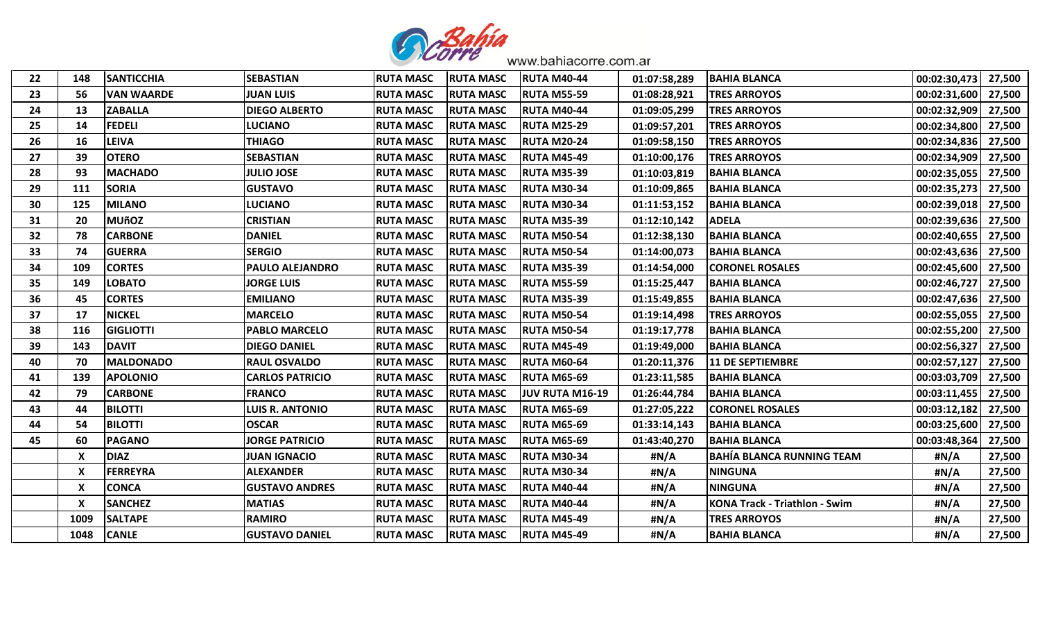

| 148<br>56<br>13<br>14 | <b>SANTICCHIA</b><br><b>VAN WAARDE</b><br><b>ZABALLA</b> | <b>SEBASTIAN</b><br><b>JUAN LUIS</b> | <b>RUTA MASC</b><br><b>RUTA MASC</b> | <b>RUTA MASC</b>                     | <b>RUTA M40-44</b> | 01:07:58,289 | <b>BAHIA BLANCA</b>                  | 00:02:30,473          | 27,500 |
|-----------------------|----------------------------------------------------------|--------------------------------------|--------------------------------------|--------------------------------------|--------------------|--------------|--------------------------------------|-----------------------|--------|
|                       |                                                          |                                      |                                      |                                      |                    |              |                                      |                       |        |
|                       |                                                          |                                      |                                      | <b>RUTA MASC</b>                     | <b>RUTA M55-59</b> | 01:08:28,921 | <b>TRES ARROYOS</b>                  | 00:02:31,600          | 27,500 |
|                       |                                                          | <b>DIEGO ALBERTO</b>                 | <b>RUTA MASC</b>                     | <b>RUTA MASC</b>                     | <b>RUTA M40-44</b> | 01:09:05,299 | <b>TRES ARROYOS</b>                  | 00:02:32,909          | 27,500 |
|                       | <b>FEDELI</b>                                            | <b>LUCIANO</b>                       | <b>RUTA MASC</b>                     | <b>RUTA MASC</b>                     | <b>RUTA M25-29</b> | 01:09:57,201 | <b>TRES ARROYOS</b>                  | 00:02:34,800          | 27,500 |
| 16                    | <b>LEIVA</b>                                             | <b>THIAGO</b>                        | <b>RUTA MASC</b>                     | <b>RUTA MASC</b>                     | <b>RUTA M20-24</b> | 01:09:58,150 | <b>TRES ARROYOS</b>                  | 00:02:34,836          | 27,500 |
| 39                    | <b>OTERO</b>                                             | <b>SEBASTIAN</b>                     | <b>RUTA MASC</b>                     | <b>RUTA MASC</b>                     | <b>RUTA M45-49</b> | 01:10:00,176 | <b>TRES ARROYOS</b>                  | 00:02:34,909          | 27,500 |
| 93                    | <b>MACHADO</b>                                           | <b>JULIO JOSE</b>                    | <b>RUTA MASC</b>                     | <b>RUTA MASC</b>                     | <b>RUTA M35-39</b> | 01:10:03,819 | <b>BAHIA BLANCA</b>                  | 00:02:35,055          | 27,500 |
| 111                   | <b>SORIA</b>                                             | <b>GUSTAVO</b>                       | <b>RUTA MASC</b>                     | <b>RUTA MASC</b>                     | RUTA M30-34        | 01:10:09,865 | <b>BAHIA BLANCA</b>                  | 00:02:35,273          | 27,500 |
| 125                   | <b>MILANO</b>                                            | <b>LUCIANO</b>                       | <b>RUTA MASC</b>                     | <b>RUTA MASC</b>                     | <b>RUTA M30-34</b> | 01:11:53,152 | <b>BAHIA BLANCA</b>                  | 00:02:39,018          | 27,500 |
| 20                    | <b>MUñOZ</b>                                             | <b>CRISTIAN</b>                      | <b>RUTA MASC</b>                     | <b>RUTA MASC</b>                     | <b>RUTA M35-39</b> | 01:12:10,142 | <b>ADELA</b>                         | 00:02:39,636          | 27,500 |
| 78                    | <b>CARBONE</b>                                           | <b>DANIEL</b>                        | <b>RUTA MASC</b>                     | <b>RUTA MASC</b>                     | <b>RUTA M50-54</b> | 01:12:38,130 | <b>BAHIA BLANCA</b>                  | 00:02:40,655          | 27,500 |
| 74                    | <b>GUERRA</b>                                            | <b>SERGIO</b>                        | <b>RUTA MASC</b>                     | <b>RUTA MASC</b>                     | <b>RUTA M50-54</b> | 01:14:00,073 | <b>BAHIA BLANCA</b>                  | 00:02:43,636          | 27,500 |
| 109                   | <b>CORTES</b>                                            | PAULO ALEJANDRO                      | <b>RUTA MASC</b>                     | <b>RUTA MASC</b>                     | <b>RUTA M35-39</b> | 01:14:54,000 | <b>CORONEL ROSALES</b>               | 00:02:45,600          | 27,500 |
| 149                   | <b>LOBATO</b>                                            | <b>JORGE LUIS</b>                    |                                      | <b>RUTA MASC</b>                     | <b>RUTA M55-59</b> | 01:15:25,447 | <b>BAHIA BLANCA</b>                  | 00:02:46,727          | 27,500 |
| 45                    | <b>CORTES</b>                                            | <b>EMILIANO</b>                      | <b>RUTA MASC</b>                     | <b>RUTA MASC</b>                     | <b>RUTA M35-39</b> | 01:15:49,855 | <b>BAHIA BLANCA</b>                  | 00:02:47,636          | 27,500 |
| 17                    | <b>NICKEL</b>                                            | <b>MARCELO</b>                       | <b>RUTA MASC</b>                     | <b>RUTA MASC</b>                     | <b>RUTA M50-54</b> | 01:19:14,498 | <b>TRES ARROYOS</b>                  | 00:02:55,055   27,500 |        |
| 116                   | <b>GIGLIOTTI</b>                                         | <b>PABLO MARCELO</b>                 | <b>RUTA MASC</b>                     | <b>RUTA MASC</b>                     | <b>RUTA M50-54</b> | 01:19:17,778 | <b>BAHIA BLANCA</b>                  | 00:02:55,200          | 27,500 |
| 143                   | <b>DAVIT</b>                                             | <b>DIEGO DANIEL</b>                  | <b>RUTA MASC</b>                     | <b>RUTA MASC</b>                     | <b>RUTA M45-49</b> | 01:19:49,000 | <b>BAHIA BLANCA</b>                  | 00:02:56,327          | 27,500 |
| 70                    | <b>MALDONADO</b>                                         | <b>RAUL OSVALDO</b>                  | <b>RUTA MASC</b>                     | <b>RUTA MASC</b>                     | <b>RUTA M60-64</b> | 01:20:11,376 | <b>11 DE SEPTIEMBRE</b>              | 00:02:57,127          | 27,500 |
| 139                   | <b>APOLONIO</b>                                          | <b>CARLOS PATRICIO</b>               |                                      | <b>RUTA MASC</b>                     | <b>RUTA M65-69</b> | 01:23:11,585 | <b>BAHIA BLANCA</b>                  | 00:03:03,709          | 27,500 |
| 79                    | <b>CARBONE</b>                                           | <b>FRANCO</b>                        | <b>RUTA MASC</b>                     | <b>RUTA MASC</b>                     | JUV RUTA M16-19    | 01:26:44,784 | <b>BAHIA BLANCA</b>                  | 00:03:11,455          | 27,500 |
| 44                    | <b>BILOTTI</b>                                           | <b>LUIS R. ANTONIO</b>               | <b>RUTA MASC</b>                     | <b>RUTA MASC</b>                     | <b>RUTA M65-69</b> | 01:27:05,222 | <b>CORONEL ROSALES</b>               | 00:03:12,182          | 27,500 |
| 54                    | <b>BILOTTI</b>                                           | <b>OSCAR</b>                         | <b>RUTA MASC</b>                     | <b>RUTA MASC</b>                     | <b>RUTA M65-69</b> | 01:33:14,143 | <b>BAHIA BLANCA</b>                  | 00:03:25,600          | 27,500 |
| 60                    | <b>PAGANO</b>                                            | <b>JORGE PATRICIO</b>                | <b>RUTA MASC</b>                     | <b>RUTA MASC</b>                     | <b>RUTA M65-69</b> | 01:43:40,270 | <b>BAHIA BLANCA</b>                  | 00:03:48,364          | 27,500 |
| X                     | <b>DIAZ</b>                                              | <b>JUAN IGNACIO</b>                  | <b>RUTA MASC</b>                     | <b>RUTA MASC</b>                     | <b>RUTA M30-34</b> | #N/A         | <b>BAHÍA BLANCA RUNNING TEAM</b>     | #N/A                  | 27,500 |
| X                     | <b>FERREYRA</b>                                          | <b>ALEXANDER</b>                     | <b>RUTA MASC</b>                     | <b>RUTA MASC</b>                     | <b>RUTA M30-34</b> | #N/A         | <b>NINGUNA</b>                       | #N/A                  | 27,500 |
| X                     | <b>CONCA</b>                                             | <b>GUSTAVO ANDRES</b>                | <b>RUTA MASC</b>                     | <b>RUTA MASC</b>                     | <b>RUTA M40-44</b> | #N/A         | <b>NINGUNA</b>                       | #N/A                  | 27,500 |
| X                     | <b>SANCHEZ</b>                                           | <b>MATIAS</b>                        | <b>RUTA MASC</b>                     | <b>RUTA MASC</b>                     | <b>RUTA M40-44</b> | #N/A         | <b>KONA Track - Triathlon - Swim</b> | #N/A                  | 27,500 |
| 1009                  | <b>SALTAPE</b>                                           | <b>RAMIRO</b>                        | <b>RUTA MASC</b>                     | <b>RUTA MASC</b>                     | <b>RUTA M45-49</b> | #N/A         | <b>TRES ARROYOS</b>                  | #N/A                  | 27,500 |
| 1048                  | <b>CANLE</b>                                             | <b>GUSTAVO DANIEL</b>                | <b>RUTA MASC</b>                     | <b>RUTA MASC</b>                     | <b>RUTA M45-49</b> | #N/A         | <b>BAHIA BLANCA</b>                  | #N/A                  | 27,500 |
|                       |                                                          |                                      |                                      | <b>RUTA MASC</b><br><b>RUTA MASC</b> |                    |              |                                      |                       |        |